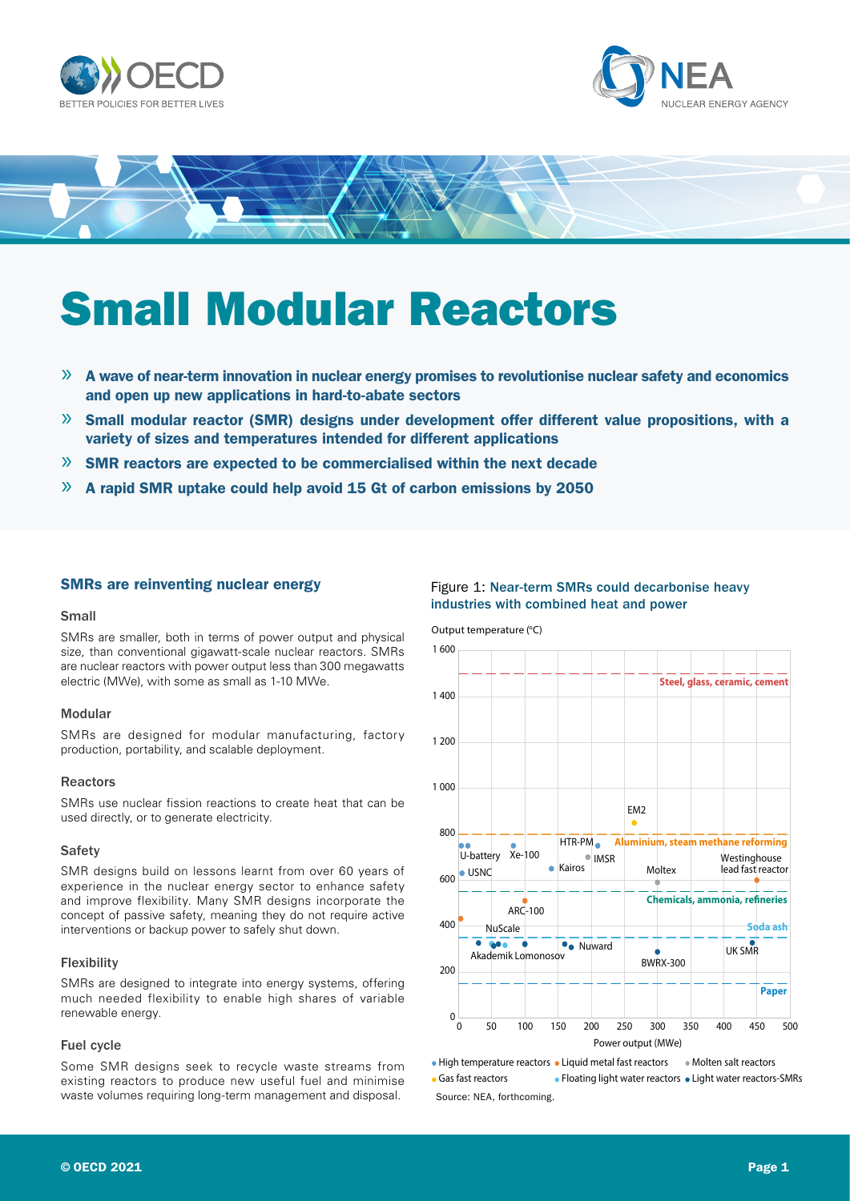





# Small Modular Reactors

- $\gg$  A wave of near-term innovation in nuclear energy promises to revolutionise nuclear safety and economics and open up new applications in hard-to-abate sectors
- » Small modular reactor (SMR) designs under development offer different value propositions, with a variety of sizes and temperatures intended for different applications
- $\mathcal{P}$  SMR reactors are expected to be commercialised within the next decade
- $\rightarrow$  A rapid SMR uptake could help avoid 15 Gt of carbon emissions by 2050

# SMRs are reinventing nuclear energy

#### Small

SMRs are smaller, both in terms of power output and physical size, than conventional gigawatt-scale nuclear reactors. SMRs are nuclear reactors with power output less than 300 megawatts electric (MWe), with some as small as 1-10 MWe.

### Modular

SMRs are designed for modular manufacturing, factory production, portability, and scalable deployment.

## Reactors

SMRs use nuclear fission reactions to create heat that can be used directly, or to generate electricity.

#### **Safety**

SMR designs build on lessons learnt from over 60 years of experience in the nuclear energy sector to enhance safety and improve flexibility. Many SMR designs incorporate the concept of passive safety, meaning they do not require active interventions or backup power to safely shut down.

#### Flexibility

SMRs are designed to integrate into energy systems, offering much needed flexibility to enable high shares of variable renewable energy.

#### Fuel cycle

Some SMR designs seek to recycle waste streams from existing reactors to produce new useful fuel and minimise waste volumes requiring long-term management and disposal.

## Figure 1: Near-term SMRs could decarbonise heavy industries with combined heat and power

Output temperature (°C)



• High temperature reactors • Liquid metal fast reactors • Molten salt reactors • Gas fast reactors • Floating light water reactors • Light water reactors-SMRs Source: NEA, forthcoming.